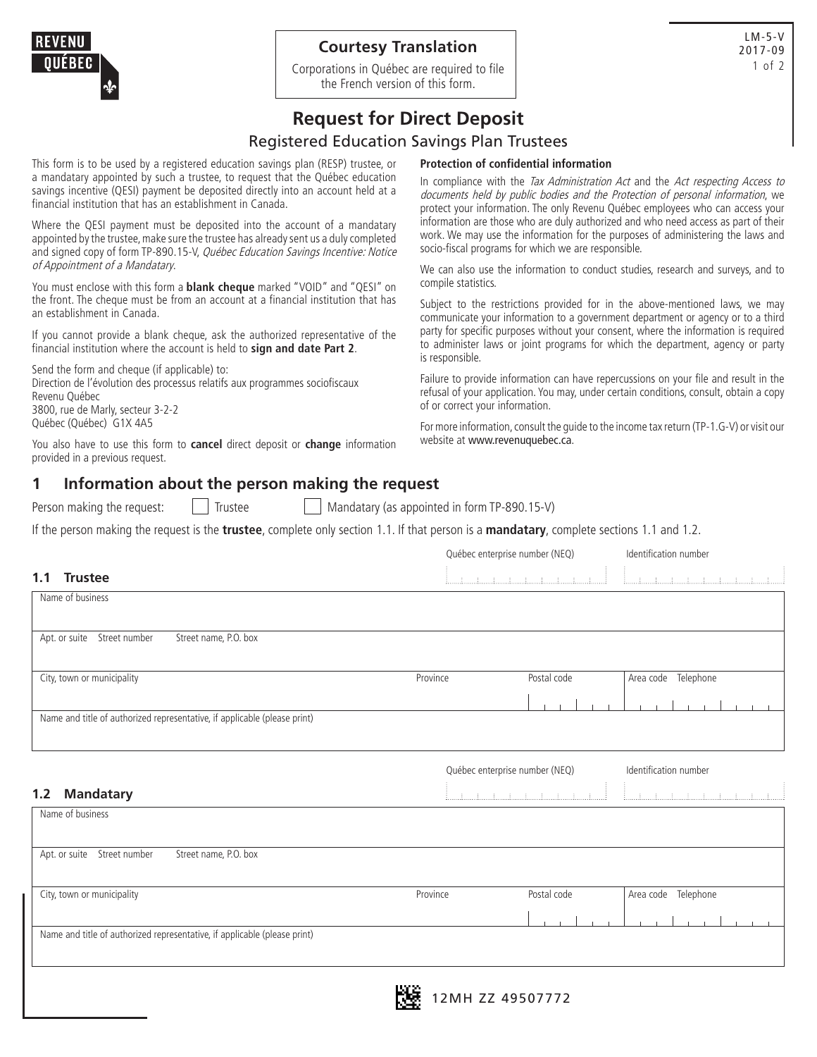## **Courtesy Translation**

Corporations in Québec are required to file the French version of this form.

# **Request for Direct Deposit**

## Registered Education Savings Plan Trustees

This form is to be used by a registered education savings plan (RESP) trustee, or a mandatary appointed by such a trustee, to request that the Québec education savings incentive (QESI) payment be deposited directly into an account held at a financial institution that has an establishment in Canada.

Where the QESI payment must be deposited into the account of a mandatary appointed by the trustee, make sure the trustee has already sent us a duly completed and signed copy of form TP-890.15-V, Québec Education Savings Incentive: Notice of Appointment of a Mandatary.

You must enclose with this form a **blank cheque** marked "VOID" and "QESI" on the front. The cheque must be from an account at a financial institution that has an establishment in Canada.

If you cannot provide a blank cheque, ask the authorized representative of the financial institution where the account is held to **sign and date Part 2**.

Send the form and cheque (if applicable) to: Direction de l'évolution des processus relatifs aux programmes sociofiscaux Revenu Québec 3800, rue de Marly, secteur 3-2-2 Québec (Québec) G1X 4A5

You also have to use this form to **cancel** direct deposit or **change** information provided in a previous request.

#### **Protection of confidential information**

In compliance with the Tax Administration Act and the Act respecting Access to documents held by public bodies and the Protection of personal information, we protect your information. The only Revenu Québec employees who can access your information are those who are duly authorized and who need access as part of their work. We may use the information for the purposes of administering the laws and socio-fiscal programs for which we are responsible.

We can also use the information to conduct studies, research and surveys, and to compile statistics.

Subject to the restrictions provided for in the above-mentioned laws, we may communicate your information to a government department or agency or to a third party for specific purposes without your consent, where the information is required to administer laws or joint programs for which the department, agency or party is responsible.

Failure to provide information can have repercussions on your file and result in the refusal of your application. You may, under certain conditions, consult, obtain a copy of or correct your information.

For more information, consult the guide to the income tax return (TP-1.G-V) or visit our website at www.revenuquebec.ca.

Québec enterprise number (NEQ) ldentification number

### **1 Information about the person making the request**

Person making the request:  $\begin{vmatrix} \cdot & \cdot \\ \cdot & \cdot \end{vmatrix}$  Trustee Mandatary (as appointed in form TP-890.15-V)

If the person making the request is the **trustee**, complete only section 1.1. If that person is a **mandatary**, complete sections 1.1 and 1.2.

#### **1.1 Trustee**

| 1. L<br><b>Trustee</b>                                                    |                                |                                          |                                                                                                                                                                                                                                                                                                                                                                                         |  |
|---------------------------------------------------------------------------|--------------------------------|------------------------------------------|-----------------------------------------------------------------------------------------------------------------------------------------------------------------------------------------------------------------------------------------------------------------------------------------------------------------------------------------------------------------------------------------|--|
| Name of business                                                          |                                |                                          |                                                                                                                                                                                                                                                                                                                                                                                         |  |
|                                                                           |                                |                                          |                                                                                                                                                                                                                                                                                                                                                                                         |  |
|                                                                           |                                |                                          |                                                                                                                                                                                                                                                                                                                                                                                         |  |
| Street name, P.O. box<br>Apt. or suite<br>Street number                   |                                |                                          |                                                                                                                                                                                                                                                                                                                                                                                         |  |
|                                                                           |                                |                                          |                                                                                                                                                                                                                                                                                                                                                                                         |  |
| City, town or municipality                                                | Province                       | Postal code                              | Area code Telephone                                                                                                                                                                                                                                                                                                                                                                     |  |
|                                                                           |                                |                                          |                                                                                                                                                                                                                                                                                                                                                                                         |  |
|                                                                           |                                |                                          |                                                                                                                                                                                                                                                                                                                                                                                         |  |
| Name and title of authorized representative, if applicable (please print) |                                |                                          |                                                                                                                                                                                                                                                                                                                                                                                         |  |
|                                                                           |                                |                                          |                                                                                                                                                                                                                                                                                                                                                                                         |  |
|                                                                           |                                |                                          |                                                                                                                                                                                                                                                                                                                                                                                         |  |
|                                                                           | Québec enterprise number (NEQ) |                                          | Identification number                                                                                                                                                                                                                                                                                                                                                                   |  |
|                                                                           |                                |                                          |                                                                                                                                                                                                                                                                                                                                                                                         |  |
|                                                                           |                                |                                          |                                                                                                                                                                                                                                                                                                                                                                                         |  |
| <b>Mandatary</b>                                                          |                                | <u>İmperimentin emperimentin emperat</u> | $[ \underbrace{1, \dots, 1, \dots, 1, \dots, 1, \dots, 1, \dots, 1, \dots, 1, \dots, 1, \dots, 1, \dots, 1, \dots, 1, \dots, 1, \dots, 1, \dots, 1, \dots, 1, \dots, 1, \dots, 1, \dots, 1, \dots, 1, \dots, 1, \dots, 1, \dots, 1, \dots, 1, \dots, 1, \dots, 1, \dots, 1, \dots, 1, \dots, 1, \dots, 1, \dots, 1, \dots, 1, \dots, 1, \dots, 1, \dots, 1, \dots, 1, \dots, 1, \dots,$ |  |
| Name of business                                                          |                                |                                          |                                                                                                                                                                                                                                                                                                                                                                                         |  |
|                                                                           |                                |                                          |                                                                                                                                                                                                                                                                                                                                                                                         |  |
|                                                                           |                                |                                          |                                                                                                                                                                                                                                                                                                                                                                                         |  |
| Apt. or suite<br>Street number<br>Street name, P.O. box                   |                                |                                          |                                                                                                                                                                                                                                                                                                                                                                                         |  |
| 1.2                                                                       |                                |                                          |                                                                                                                                                                                                                                                                                                                                                                                         |  |
|                                                                           | Province                       | Postal code                              |                                                                                                                                                                                                                                                                                                                                                                                         |  |
| City, town or municipality                                                |                                |                                          | Area code Telephone                                                                                                                                                                                                                                                                                                                                                                     |  |
|                                                                           |                                |                                          |                                                                                                                                                                                                                                                                                                                                                                                         |  |
| Name and title of authorized representative, if applicable (please print) |                                |                                          |                                                                                                                                                                                                                                                                                                                                                                                         |  |